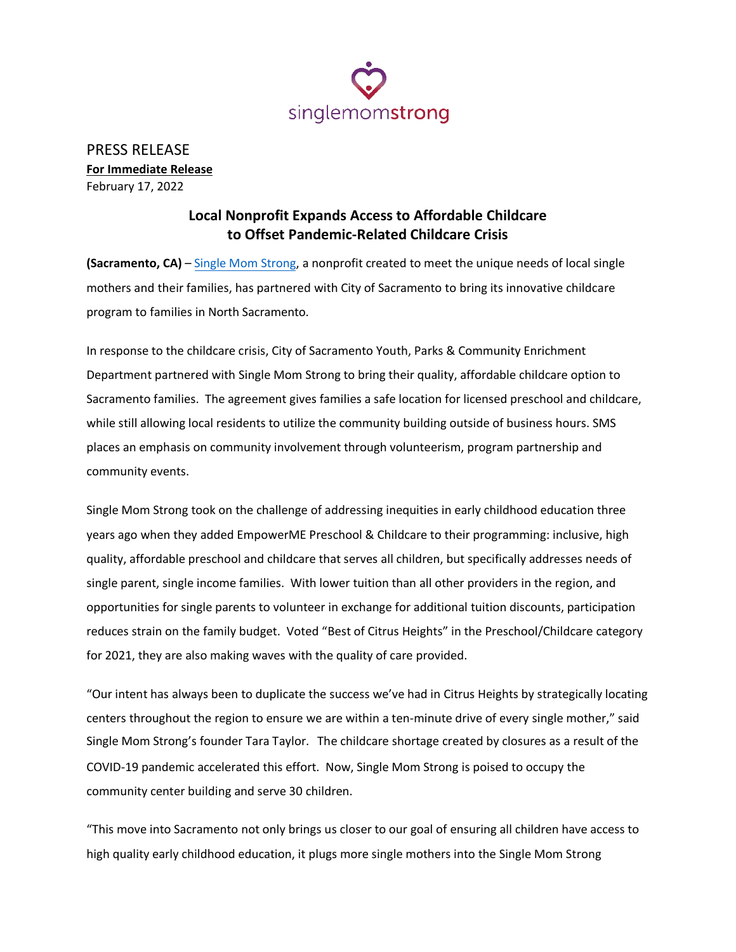

PRESS RELEASE **For Immediate Release** February 17, 2022

## **Local Nonprofit Expands Access to Affordable Childcare to Offset Pandemic-Related Childcare Crisis**

**(Sacramento, CA)** – [Single Mom Strong,](https://www.singlemomstrong.org/) a nonprofit created to meet the unique needs of local single mothers and their families, has partnered with City of Sacramento to bring its innovative childcare program to families in North Sacramento.

In response to the childcare crisis, City of Sacramento Youth, Parks & Community Enrichment Department partnered with Single Mom Strong to bring their quality, affordable childcare option to Sacramento families. The agreement gives families a safe location for licensed preschool and childcare, while still allowing local residents to utilize the community building outside of business hours. SMS places an emphasis on community involvement through volunteerism, program partnership and community events.

Single Mom Strong took on the challenge of addressing inequities in early childhood education three years ago when they added EmpowerME Preschool & Childcare to their programming: inclusive, high quality, affordable preschool and childcare that serves all children, but specifically addresses needs of single parent, single income families. With lower tuition than all other providers in the region, and opportunities for single parents to volunteer in exchange for additional tuition discounts, participation reduces strain on the family budget. Voted "Best of Citrus Heights" in the Preschool/Childcare category for 2021, they are also making waves with the quality of care provided.

"Our intent has always been to duplicate the success we've had in Citrus Heights by strategically locating centers throughout the region to ensure we are within a ten-minute drive of every single mother," said Single Mom Strong's founder Tara Taylor. The childcare shortage created by closures as a result of the COVID-19 pandemic accelerated this effort. Now, Single Mom Strong is poised to occupy the community center building and serve 30 children.

"This move into Sacramento not only brings us closer to our goal of ensuring all children have access to high quality early childhood education, it plugs more single mothers into the Single Mom Strong